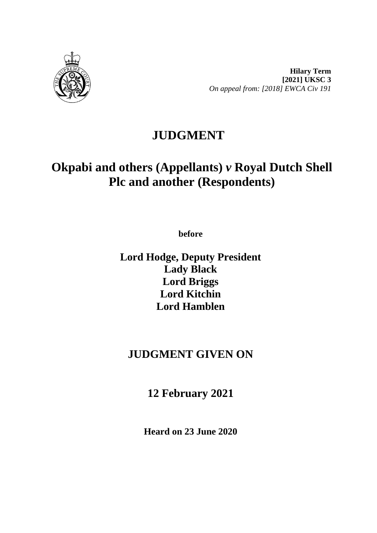

**Hilary Term [2021] UKSC 3** *On appeal from: [2018] EWCA Civ 191*

## **JUDGMENT**

# **Okpabi and others (Appellants)** *v* **Royal Dutch Shell Plc and another (Respondents)**

**before** 

**Lord Hodge, Deputy President Lady Black Lord Briggs Lord Kitchin Lord Hamblen**

### **JUDGMENT GIVEN ON**

**12 February 2021**

**Heard on 23 June 2020**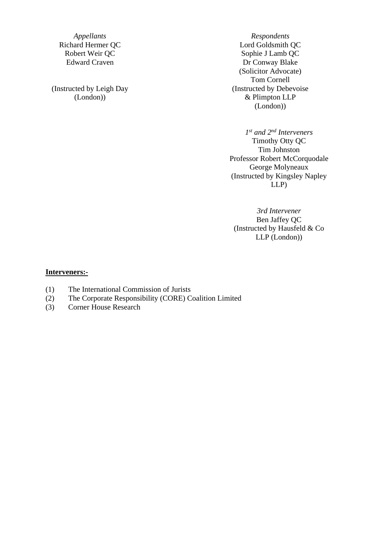(Instructed by Leigh Day (London))

*Appellants Respondents* Richard Hermer QC<br>
Robert Weir QC<br>
Robert Weir QC<br>
Robert Weir QC<br>
Robert Weir QC<br>
Robert Weir QC<br>
Robert Weir QC<br>
Robert Weir QC<br>
Robert Weir QC<br>
Robert Weir QC<br>
Robert Mathematics of the United States of the United State Sophie J Lamb QC Edward Craven Dr Conway Blake (Solicitor Advocate) Tom Cornell (Instructed by Debevoise & Plimpton LLP (London))

> *1st and 2nd Interveners* Timothy Otty QC Tim Johnston Professor Robert McCorquodale George Molyneaux (Instructed by Kingsley Napley LLP)

*3rd Intervener* Ben Jaffey QC (Instructed by Hausfeld & Co LLP (London))

#### **Interveners:-**

- (1) The International Commission of Jurists
- (2) The Corporate Responsibility (CORE) Coalition Limited
- (3) Corner House Research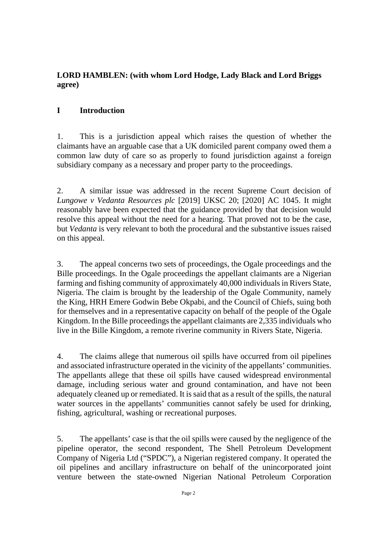#### **LORD HAMBLEN: (with whom Lord Hodge, Lady Black and Lord Briggs agree)**

#### **I Introduction**

1. This is a jurisdiction appeal which raises the question of whether the claimants have an arguable case that a UK domiciled parent company owed them a common law duty of care so as properly to found jurisdiction against a foreign subsidiary company as a necessary and proper party to the proceedings.

2. A similar issue was addressed in the recent Supreme Court decision of *Lungowe v Vedanta Resources plc* [2019] UKSC 20; [2020] AC 1045. It might reasonably have been expected that the guidance provided by that decision would resolve this appeal without the need for a hearing. That proved not to be the case, but *Vedanta* is very relevant to both the procedural and the substantive issues raised on this appeal.

3. The appeal concerns two sets of proceedings, the Ogale proceedings and the Bille proceedings. In the Ogale proceedings the appellant claimants are a Nigerian farming and fishing community of approximately 40,000 individuals in Rivers State, Nigeria. The claim is brought by the leadership of the Ogale Community, namely the King, HRH Emere Godwin Bebe Okpabi, and the Council of Chiefs, suing both for themselves and in a representative capacity on behalf of the people of the Ogale Kingdom. In the Bille proceedings the appellant claimants are 2,335 individuals who live in the Bille Kingdom, a remote riverine community in Rivers State, Nigeria.

4. The claims allege that numerous oil spills have occurred from oil pipelines and associated infrastructure operated in the vicinity of the appellants' communities. The appellants allege that these oil spills have caused widespread environmental damage, including serious water and ground contamination, and have not been adequately cleaned up or remediated. It is said that as a result of the spills, the natural water sources in the appellants' communities cannot safely be used for drinking, fishing, agricultural, washing or recreational purposes.

5. The appellants' case is that the oil spills were caused by the negligence of the pipeline operator, the second respondent, The Shell Petroleum Development Company of Nigeria Ltd ("SPDC"), a Nigerian registered company. It operated the oil pipelines and ancillary infrastructure on behalf of the unincorporated joint venture between the state-owned Nigerian National Petroleum Corporation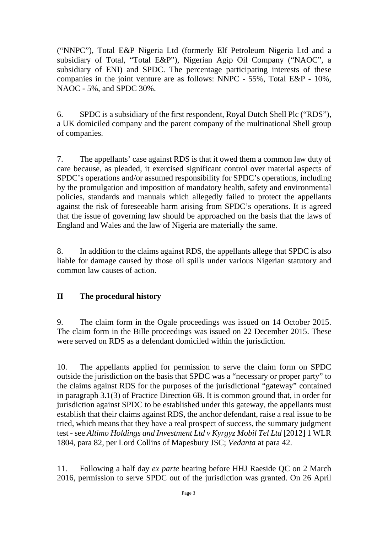("NNPC"), Total E&P Nigeria Ltd (formerly Elf Petroleum Nigeria Ltd and a subsidiary of Total, "Total E&P"), Nigerian Agip Oil Company ("NAOC", a subsidiary of ENI) and SPDC. The percentage participating interests of these companies in the joint venture are as follows: NNPC - 55%, Total E&P - 10%, NAOC - 5%, and SPDC 30%.

6. SPDC is a subsidiary of the first respondent, Royal Dutch Shell Plc ("RDS"), a UK domiciled company and the parent company of the multinational Shell group of companies.

7. The appellants' case against RDS is that it owed them a common law duty of care because, as pleaded, it exercised significant control over material aspects of SPDC's operations and/or assumed responsibility for SPDC's operations, including by the promulgation and imposition of mandatory health, safety and environmental policies, standards and manuals which allegedly failed to protect the appellants against the risk of foreseeable harm arising from SPDC's operations. It is agreed that the issue of governing law should be approached on the basis that the laws of England and Wales and the law of Nigeria are materially the same.

8. In addition to the claims against RDS, the appellants allege that SPDC is also liable for damage caused by those oil spills under various Nigerian statutory and common law causes of action.

#### **II The procedural history**

9. The claim form in the Ogale proceedings was issued on 14 October 2015. The claim form in the Bille proceedings was issued on 22 December 2015. These were served on RDS as a defendant domiciled within the jurisdiction.

10. The appellants applied for permission to serve the claim form on SPDC outside the jurisdiction on the basis that SPDC was a "necessary or proper party" to the claims against RDS for the purposes of the jurisdictional "gateway" contained in paragraph 3.1(3) of Practice Direction 6B. It is common ground that, in order for jurisdiction against SPDC to be established under this gateway, the appellants must establish that their claims against RDS, the anchor defendant, raise a real issue to be tried, which means that they have a real prospect of success, the summary judgment test - see *Altimo Holdings and Investment Ltd v Kyrgyz Mobil Tel Ltd* [2012] 1 WLR 1804, para 82, per Lord Collins of Mapesbury JSC; *Vedanta* at para 42.

11. Following a half day *ex parte* hearing before HHJ Raeside QC on 2 March 2016, permission to serve SPDC out of the jurisdiction was granted. On 26 April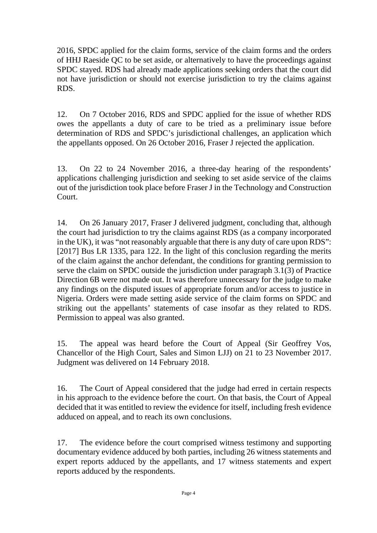2016, SPDC applied for the claim forms, service of the claim forms and the orders of HHJ Raeside QC to be set aside, or alternatively to have the proceedings against SPDC stayed. RDS had already made applications seeking orders that the court did not have jurisdiction or should not exercise jurisdiction to try the claims against RDS.

12. On 7 October 2016, RDS and SPDC applied for the issue of whether RDS owes the appellants a duty of care to be tried as a preliminary issue before determination of RDS and SPDC's jurisdictional challenges, an application which the appellants opposed. On 26 October 2016, Fraser J rejected the application.

13. On 22 to 24 November 2016, a three-day hearing of the respondents' applications challenging jurisdiction and seeking to set aside service of the claims out of the jurisdiction took place before Fraser J in the Technology and Construction Court.

14. On 26 January 2017, Fraser J delivered judgment, concluding that, although the court had jurisdiction to try the claims against RDS (as a company incorporated in the UK), it was "not reasonably arguable that there is any duty of care upon RDS": [2017] Bus LR 1335, para 122. In the light of this conclusion regarding the merits of the claim against the anchor defendant, the conditions for granting permission to serve the claim on SPDC outside the jurisdiction under paragraph 3.1(3) of Practice Direction 6B were not made out. It was therefore unnecessary for the judge to make any findings on the disputed issues of appropriate forum and/or access to justice in Nigeria. Orders were made setting aside service of the claim forms on SPDC and striking out the appellants' statements of case insofar as they related to RDS. Permission to appeal was also granted.

15. The appeal was heard before the Court of Appeal (Sir Geoffrey Vos, Chancellor of the High Court, Sales and Simon LJJ) on 21 to 23 November 2017. Judgment was delivered on 14 February 2018.

16. The Court of Appeal considered that the judge had erred in certain respects in his approach to the evidence before the court. On that basis, the Court of Appeal decided that it was entitled to review the evidence for itself, including fresh evidence adduced on appeal, and to reach its own conclusions.

17. The evidence before the court comprised witness testimony and supporting documentary evidence adduced by both parties, including 26 witness statements and expert reports adduced by the appellants, and 17 witness statements and expert reports adduced by the respondents.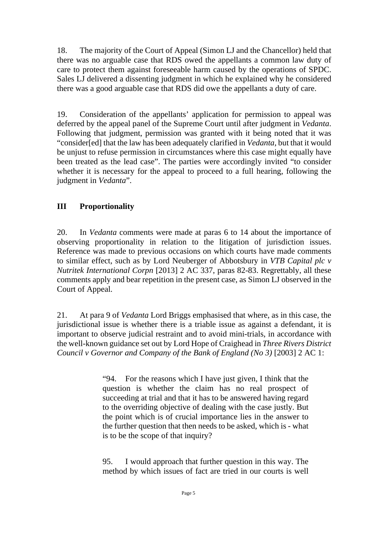18. The majority of the Court of Appeal (Simon LJ and the Chancellor) held that there was no arguable case that RDS owed the appellants a common law duty of care to protect them against foreseeable harm caused by the operations of SPDC. Sales LJ delivered a dissenting judgment in which he explained why he considered there was a good arguable case that RDS did owe the appellants a duty of care.

19. Consideration of the appellants' application for permission to appeal was deferred by the appeal panel of the Supreme Court until after judgment in *Vedanta*. Following that judgment, permission was granted with it being noted that it was "consider[ed] that the law has been adequately clarified in *Vedanta*, but that it would be unjust to refuse permission in circumstances where this case might equally have been treated as the lead case". The parties were accordingly invited "to consider whether it is necessary for the appeal to proceed to a full hearing, following the judgment in *Vedanta*".

#### **III Proportionality**

20. In *Vedanta* comments were made at paras 6 to 14 about the importance of observing proportionality in relation to the litigation of jurisdiction issues. Reference was made to previous occasions on which courts have made comments to similar effect, such as by Lord Neuberger of Abbotsbury in *VTB Capital plc v Nutritek International Corpn* [2013] 2 AC 337, paras 82-83. Regrettably, all these comments apply and bear repetition in the present case, as Simon LJ observed in the Court of Appeal.

21. At para 9 of *Vedanta* Lord Briggs emphasised that where, as in this case, the jurisdictional issue is whether there is a triable issue as against a defendant, it is important to observe judicial restraint and to avoid mini-trials, in accordance with the well-known guidance set out by Lord Hope of Craighead in *Three Rivers District Council v Governor and Company of the Bank of England (No 3)* [2003] 2 AC 1:

> "94. For the reasons which I have just given, I think that the question is whether the claim has no real prospect of succeeding at trial and that it has to be answered having regard to the overriding objective of dealing with the case justly. But the point which is of crucial importance lies in the answer to the further question that then needs to be asked, which is - what is to be the scope of that inquiry?

> 95. I would approach that further question in this way. The method by which issues of fact are tried in our courts is well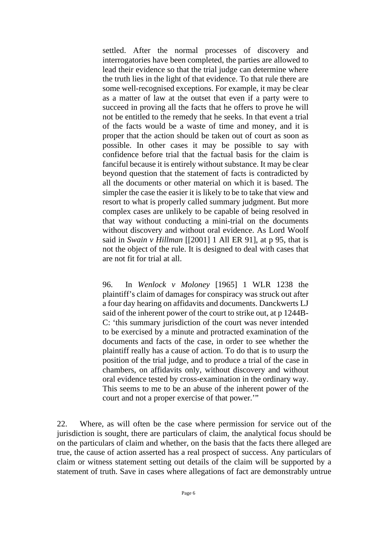settled. After the normal processes of discovery and interrogatories have been completed, the parties are allowed to lead their evidence so that the trial judge can determine where the truth lies in the light of that evidence. To that rule there are some well-recognised exceptions. For example, it may be clear as a matter of law at the outset that even if a party were to succeed in proving all the facts that he offers to prove he will not be entitled to the remedy that he seeks. In that event a trial of the facts would be a waste of time and money, and it is proper that the action should be taken out of court as soon as possible. In other cases it may be possible to say with confidence before trial that the factual basis for the claim is fanciful because it is entirely without substance. It may be clear beyond question that the statement of facts is contradicted by all the documents or other material on which it is based. The simpler the case the easier it is likely to be to take that view and resort to what is properly called summary judgment. But more complex cases are unlikely to be capable of being resolved in that way without conducting a mini-trial on the documents without discovery and without oral evidence. As Lord Woolf said in *Swain v Hillman* [[2001] 1 All ER 91], at p 95, that is not the object of the rule. It is designed to deal with cases that are not fit for trial at all.

96. In *Wenlock v Moloney* [1965] 1 WLR 1238 the plaintiff's claim of damages for conspiracy was struck out after a four day hearing on affidavits and documents. Danckwerts LJ said of the inherent power of the court to strike out, at p 1244B-C: 'this summary jurisdiction of the court was never intended to be exercised by a minute and protracted examination of the documents and facts of the case, in order to see whether the plaintiff really has a cause of action. To do that is to usurp the position of the trial judge, and to produce a trial of the case in chambers, on affidavits only, without discovery and without oral evidence tested by cross-examination in the ordinary way. This seems to me to be an abuse of the inherent power of the court and not a proper exercise of that power.'"

22. Where, as will often be the case where permission for service out of the jurisdiction is sought, there are particulars of claim, the analytical focus should be on the particulars of claim and whether, on the basis that the facts there alleged are true, the cause of action asserted has a real prospect of success. Any particulars of claim or witness statement setting out details of the claim will be supported by a statement of truth. Save in cases where allegations of fact are demonstrably untrue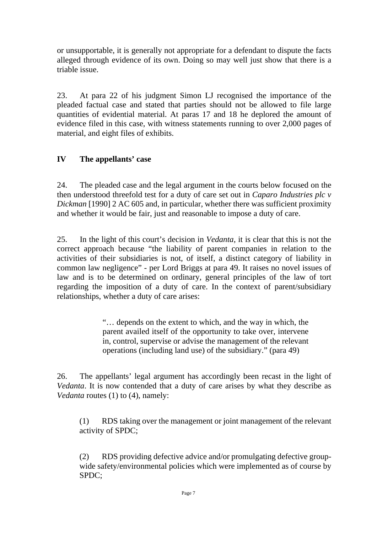or unsupportable, it is generally not appropriate for a defendant to dispute the facts alleged through evidence of its own. Doing so may well just show that there is a triable issue.

23. At para 22 of his judgment Simon LJ recognised the importance of the pleaded factual case and stated that parties should not be allowed to file large quantities of evidential material. At paras 17 and 18 he deplored the amount of evidence filed in this case, with witness statements running to over 2,000 pages of material, and eight files of exhibits.

#### **IV The appellants' case**

24. The pleaded case and the legal argument in the courts below focused on the then understood threefold test for a duty of care set out in *Caparo Industries plc v Dickman* [1990] 2 AC 605 and, in particular, whether there was sufficient proximity and whether it would be fair, just and reasonable to impose a duty of care.

25. In the light of this court's decision in *Vedanta*, it is clear that this is not the correct approach because "the liability of parent companies in relation to the activities of their subsidiaries is not, of itself, a distinct category of liability in common law negligence" - per Lord Briggs at para 49. It raises no novel issues of law and is to be determined on ordinary, general principles of the law of tort regarding the imposition of a duty of care. In the context of parent/subsidiary relationships, whether a duty of care arises:

> "… depends on the extent to which, and the way in which, the parent availed itself of the opportunity to take over, intervene in, control, supervise or advise the management of the relevant operations (including land use) of the subsidiary." (para 49)

26. The appellants' legal argument has accordingly been recast in the light of *Vedanta*. It is now contended that a duty of care arises by what they describe as *Vedanta* routes (1) to (4), namely:

(1) RDS taking over the management or joint management of the relevant activity of SPDC;

(2) RDS providing defective advice and/or promulgating defective groupwide safety/environmental policies which were implemented as of course by SPDC;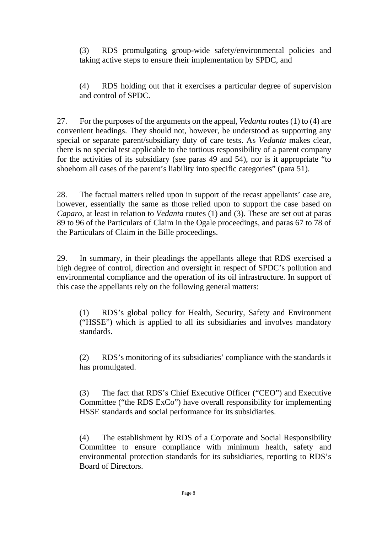(3) RDS promulgating group-wide safety/environmental policies and taking active steps to ensure their implementation by SPDC, and

(4) RDS holding out that it exercises a particular degree of supervision and control of SPDC.

27. For the purposes of the arguments on the appeal, *Vedanta* routes (1) to (4) are convenient headings. They should not, however, be understood as supporting any special or separate parent/subsidiary duty of care tests. As *Vedanta* makes clear, there is no special test applicable to the tortious responsibility of a parent company for the activities of its subsidiary (see paras 49 and 54), nor is it appropriate "to shoehorn all cases of the parent's liability into specific categories" (para 51).

28. The factual matters relied upon in support of the recast appellants' case are, however, essentially the same as those relied upon to support the case based on *Caparo*, at least in relation to *Vedanta* routes (1) and (3)*.* These are set out at paras 89 to 96 of the Particulars of Claim in the Ogale proceedings, and paras 67 to 78 of the Particulars of Claim in the Bille proceedings.

29. In summary, in their pleadings the appellants allege that RDS exercised a high degree of control, direction and oversight in respect of SPDC's pollution and environmental compliance and the operation of its oil infrastructure. In support of this case the appellants rely on the following general matters:

(1) RDS's global policy for Health, Security, Safety and Environment ("HSSE") which is applied to all its subsidiaries and involves mandatory standards.

(2) RDS's monitoring of its subsidiaries' compliance with the standards it has promulgated.

(3) The fact that RDS's Chief Executive Officer ("CEO") and Executive Committee ("the RDS ExCo") have overall responsibility for implementing HSSE standards and social performance for its subsidiaries.

(4) The establishment by RDS of a Corporate and Social Responsibility Committee to ensure compliance with minimum health, safety and environmental protection standards for its subsidiaries, reporting to RDS's Board of Directors.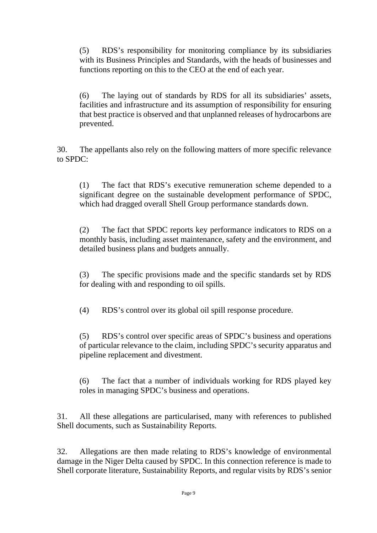(5) RDS's responsibility for monitoring compliance by its subsidiaries with its Business Principles and Standards, with the heads of businesses and functions reporting on this to the CEO at the end of each year.

(6) The laying out of standards by RDS for all its subsidiaries' assets, facilities and infrastructure and its assumption of responsibility for ensuring that best practice is observed and that unplanned releases of hydrocarbons are prevented.

30. The appellants also rely on the following matters of more specific relevance to SPDC:

(1) The fact that RDS's executive remuneration scheme depended to a significant degree on the sustainable development performance of SPDC, which had dragged overall Shell Group performance standards down.

(2) The fact that SPDC reports key performance indicators to RDS on a monthly basis, including asset maintenance, safety and the environment, and detailed business plans and budgets annually.

(3) The specific provisions made and the specific standards set by RDS for dealing with and responding to oil spills.

(4) RDS's control over its global oil spill response procedure.

(5) RDS's control over specific areas of SPDC's business and operations of particular relevance to the claim, including SPDC's security apparatus and pipeline replacement and divestment.

(6) The fact that a number of individuals working for RDS played key roles in managing SPDC's business and operations.

31. All these allegations are particularised, many with references to published Shell documents, such as Sustainability Reports.

32. Allegations are then made relating to RDS's knowledge of environmental damage in the Niger Delta caused by SPDC. In this connection reference is made to Shell corporate literature, Sustainability Reports, and regular visits by RDS's senior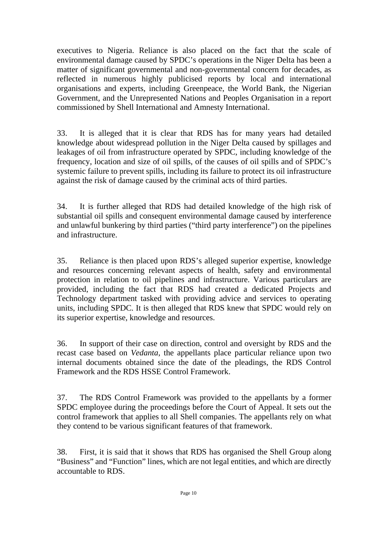executives to Nigeria. Reliance is also placed on the fact that the scale of environmental damage caused by SPDC's operations in the Niger Delta has been a matter of significant governmental and non-governmental concern for decades, as reflected in numerous highly publicised reports by local and international organisations and experts, including Greenpeace, the World Bank, the Nigerian Government, and the Unrepresented Nations and Peoples Organisation in a report commissioned by Shell International and Amnesty International.

33. It is alleged that it is clear that RDS has for many years had detailed knowledge about widespread pollution in the Niger Delta caused by spillages and leakages of oil from infrastructure operated by SPDC, including knowledge of the frequency, location and size of oil spills, of the causes of oil spills and of SPDC's systemic failure to prevent spills, including its failure to protect its oil infrastructure against the risk of damage caused by the criminal acts of third parties.

34. It is further alleged that RDS had detailed knowledge of the high risk of substantial oil spills and consequent environmental damage caused by interference and unlawful bunkering by third parties ("third party interference") on the pipelines and infrastructure.

35. Reliance is then placed upon RDS's alleged superior expertise, knowledge and resources concerning relevant aspects of health, safety and environmental protection in relation to oil pipelines and infrastructure. Various particulars are provided, including the fact that RDS had created a dedicated Projects and Technology department tasked with providing advice and services to operating units, including SPDC. It is then alleged that RDS knew that SPDC would rely on its superior expertise, knowledge and resources.

36. In support of their case on direction, control and oversight by RDS and the recast case based on *Vedanta*, the appellants place particular reliance upon two internal documents obtained since the date of the pleadings, the RDS Control Framework and the RDS HSSE Control Framework.

37. The RDS Control Framework was provided to the appellants by a former SPDC employee during the proceedings before the Court of Appeal. It sets out the control framework that applies to all Shell companies. The appellants rely on what they contend to be various significant features of that framework.

38. First, it is said that it shows that RDS has organised the Shell Group along "Business" and "Function" lines, which are not legal entities, and which are directly accountable to RDS.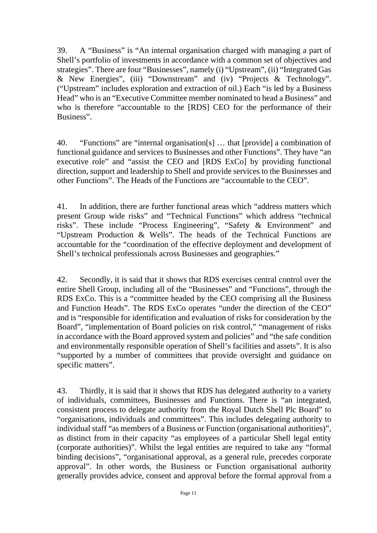39. A "Business" is "An internal organisation charged with managing a part of Shell's portfolio of investments in accordance with a common set of objectives and strategies". There are four "Businesses", namely (i) "Upstream", (ii) "Integrated Gas & New Energies", (iii) "Downstream" and (iv) "Projects & Technology". ("Upstream" includes exploration and extraction of oil.) Each "is led by a Business Head" who is an "Executive Committee member nominated to head a Business" and who is therefore "accountable to the [RDS] CEO for the performance of their Business".

40. "Functions" are "internal organisation[s] … that [provide] a combination of functional guidance and services to Businesses and other Functions". They have "an executive role" and "assist the CEO and [RDS ExCo] by providing functional direction, support and leadership to Shell and provide services to the Businesses and other Functions". The Heads of the Functions are "accountable to the CEO".

41. In addition, there are further functional areas which "address matters which present Group wide risks" and "Technical Functions" which address "technical risks". These include "Process Engineering", "Safety & Environment" and "Upstream Production & Wells". The heads of the Technical Functions are accountable for the "coordination of the effective deployment and development of Shell's technical professionals across Businesses and geographies."

42. Secondly, it is said that it shows that RDS exercises central control over the entire Shell Group, including all of the "Businesses" and "Functions", through the RDS ExCo. This is a "committee headed by the CEO comprising all the Business and Function Heads". The RDS ExCo operates "under the direction of the CEO" and is "responsible for identification and evaluation of risks for consideration by the Board", "implementation of Board policies on risk control," "management of risks in accordance with the Board approved system and policies" and "the safe condition and environmentally responsible operation of Shell's facilities and assets". It is also "supported by a number of committees that provide oversight and guidance on specific matters".

43. Thirdly, it is said that it shows that RDS has delegated authority to a variety of individuals, committees, Businesses and Functions. There is "an integrated, consistent process to delegate authority from the Royal Dutch Shell Plc Board" to "organisations, individuals and committees". This includes delegating authority to individual staff "as members of a Business or Function (organisational authorities)", as distinct from in their capacity "as employees of a particular Shell legal entity (corporate authorities)". Whilst the legal entities are required to take any "formal binding decisions", "organisational approval, as a general rule, precedes corporate approval". In other words, the Business or Function organisational authority generally provides advice, consent and approval before the formal approval from a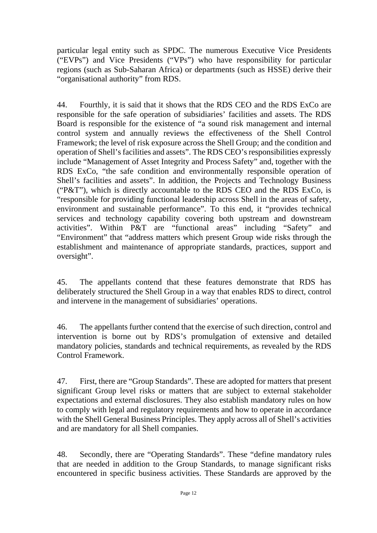particular legal entity such as SPDC. The numerous Executive Vice Presidents ("EVPs") and Vice Presidents ("VPs") who have responsibility for particular regions (such as Sub-Saharan Africa) or departments (such as HSSE) derive their "organisational authority" from RDS.

44. Fourthly, it is said that it shows that the RDS CEO and the RDS ExCo are responsible for the safe operation of subsidiaries' facilities and assets. The RDS Board is responsible for the existence of "a sound risk management and internal control system and annually reviews the effectiveness of the Shell Control Framework; the level of risk exposure across the Shell Group; and the condition and operation of Shell's facilities and assets". The RDS CEO's responsibilities expressly include "Management of Asset Integrity and Process Safety" and, together with the RDS ExCo, "the safe condition and environmentally responsible operation of Shell's facilities and assets". In addition, the Projects and Technology Business ("P&T"), which is directly accountable to the RDS CEO and the RDS ExCo, is "responsible for providing functional leadership across Shell in the areas of safety, environment and sustainable performance". To this end, it "provides technical services and technology capability covering both upstream and downstream activities". Within P&T are "functional areas" including "Safety" and "Environment" that "address matters which present Group wide risks through the establishment and maintenance of appropriate standards, practices, support and oversight".

45. The appellants contend that these features demonstrate that RDS has deliberately structured the Shell Group in a way that enables RDS to direct, control and intervene in the management of subsidiaries' operations.

46. The appellants further contend that the exercise of such direction, control and intervention is borne out by RDS's promulgation of extensive and detailed mandatory policies, standards and technical requirements, as revealed by the RDS Control Framework.

47. First, there are "Group Standards". These are adopted for matters that present significant Group level risks or matters that are subject to external stakeholder expectations and external disclosures. They also establish mandatory rules on how to comply with legal and regulatory requirements and how to operate in accordance with the Shell General Business Principles. They apply across all of Shell's activities and are mandatory for all Shell companies.

48. Secondly, there are "Operating Standards". These "define mandatory rules that are needed in addition to the Group Standards, to manage significant risks encountered in specific business activities. These Standards are approved by the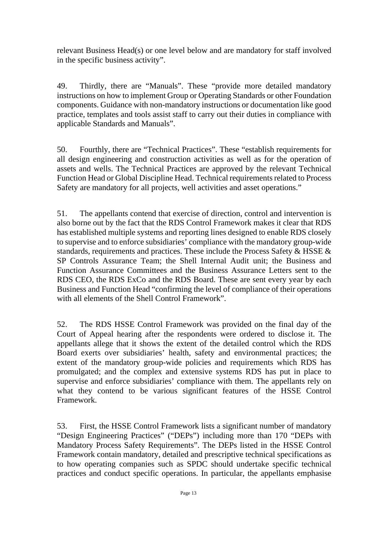relevant Business Head(s) or one level below and are mandatory for staff involved in the specific business activity".

49. Thirdly, there are "Manuals". These "provide more detailed mandatory instructions on how to implement Group or Operating Standards or other Foundation components. Guidance with non-mandatory instructions or documentation like good practice, templates and tools assist staff to carry out their duties in compliance with applicable Standards and Manuals".

50. Fourthly, there are "Technical Practices". These "establish requirements for all design engineering and construction activities as well as for the operation of assets and wells. The Technical Practices are approved by the relevant Technical Function Head or Global Discipline Head. Technical requirements related to Process Safety are mandatory for all projects, well activities and asset operations."

51. The appellants contend that exercise of direction, control and intervention is also borne out by the fact that the RDS Control Framework makes it clear that RDS has established multiple systems and reporting lines designed to enable RDS closely to supervise and to enforce subsidiaries' compliance with the mandatory group-wide standards, requirements and practices. These include the Process Safety & HSSE & SP Controls Assurance Team; the Shell Internal Audit unit; the Business and Function Assurance Committees and the Business Assurance Letters sent to the RDS CEO, the RDS ExCo and the RDS Board. These are sent every year by each Business and Function Head "confirming the level of compliance of their operations with all elements of the Shell Control Framework".

52. The RDS HSSE Control Framework was provided on the final day of the Court of Appeal hearing after the respondents were ordered to disclose it. The appellants allege that it shows the extent of the detailed control which the RDS Board exerts over subsidiaries' health, safety and environmental practices; the extent of the mandatory group-wide policies and requirements which RDS has promulgated; and the complex and extensive systems RDS has put in place to supervise and enforce subsidiaries' compliance with them. The appellants rely on what they contend to be various significant features of the HSSE Control Framework.

53. First, the HSSE Control Framework lists a significant number of mandatory "Design Engineering Practices" ("DEPs") including more than 170 "DEPs with Mandatory Process Safety Requirements". The DEPs listed in the HSSE Control Framework contain mandatory, detailed and prescriptive technical specifications as to how operating companies such as SPDC should undertake specific technical practices and conduct specific operations. In particular, the appellants emphasise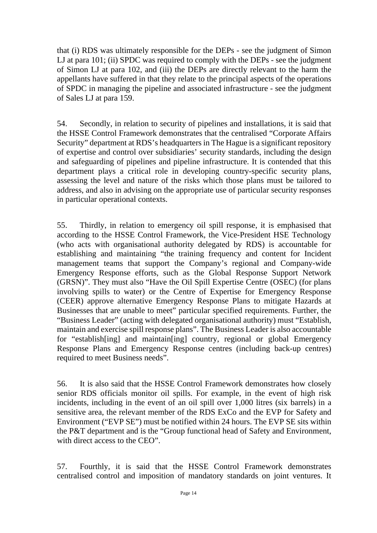that (i) RDS was ultimately responsible for the DEPs - see the judgment of Simon LJ at para 101; (ii) SPDC was required to comply with the DEPs - see the judgment of Simon LJ at para 102, and (iii) the DEPs are directly relevant to the harm the appellants have suffered in that they relate to the principal aspects of the operations of SPDC in managing the pipeline and associated infrastructure - see the judgment of Sales LJ at para 159.

54. Secondly, in relation to security of pipelines and installations, it is said that the HSSE Control Framework demonstrates that the centralised "Corporate Affairs Security" department at RDS's headquarters in The Hague is a significant repository of expertise and control over subsidiaries' security standards, including the design and safeguarding of pipelines and pipeline infrastructure. It is contended that this department plays a critical role in developing country-specific security plans, assessing the level and nature of the risks which those plans must be tailored to address, and also in advising on the appropriate use of particular security responses in particular operational contexts.

55. Thirdly, in relation to emergency oil spill response, it is emphasised that according to the HSSE Control Framework, the Vice-President HSE Technology (who acts with organisational authority delegated by RDS) is accountable for establishing and maintaining "the training frequency and content for Incident management teams that support the Company's regional and Company-wide Emergency Response efforts, such as the Global Response Support Network (GRSN)". They must also "Have the Oil Spill Expertise Centre (OSEC) (for plans involving spills to water) or the Centre of Expertise for Emergency Response (CEER) approve alternative Emergency Response Plans to mitigate Hazards at Businesses that are unable to meet" particular specified requirements. Further, the "Business Leader" (acting with delegated organisational authority) must "Establish, maintain and exercise spill response plans". The Business Leader is also accountable for "establish[ing] and maintain[ing] country, regional or global Emergency Response Plans and Emergency Response centres (including back-up centres) required to meet Business needs".

56. It is also said that the HSSE Control Framework demonstrates how closely senior RDS officials monitor oil spills. For example, in the event of high risk incidents, including in the event of an oil spill over 1,000 litres (six barrels) in a sensitive area, the relevant member of the RDS ExCo and the EVP for Safety and Environment ("EVP SE") must be notified within 24 hours. The EVP SE sits within the P&T department and is the "Group functional head of Safety and Environment, with direct access to the CEO".

57. Fourthly, it is said that the HSSE Control Framework demonstrates centralised control and imposition of mandatory standards on joint ventures. It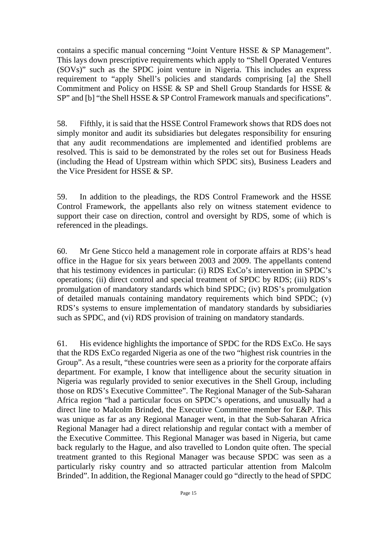contains a specific manual concerning "Joint Venture HSSE & SP Management". This lays down prescriptive requirements which apply to "Shell Operated Ventures (SOVs)" such as the SPDC joint venture in Nigeria. This includes an express requirement to "apply Shell's policies and standards comprising [a] the Shell Commitment and Policy on HSSE & SP and Shell Group Standards for HSSE & SP" and [b] "the Shell HSSE & SP Control Framework manuals and specifications".

58. Fifthly, it is said that the HSSE Control Framework shows that RDS does not simply monitor and audit its subsidiaries but delegates responsibility for ensuring that any audit recommendations are implemented and identified problems are resolved. This is said to be demonstrated by the roles set out for Business Heads (including the Head of Upstream within which SPDC sits), Business Leaders and the Vice President for HSSE & SP.

59. In addition to the pleadings, the RDS Control Framework and the HSSE Control Framework, the appellants also rely on witness statement evidence to support their case on direction, control and oversight by RDS, some of which is referenced in the pleadings.

60. Mr Gene Sticco held a management role in corporate affairs at RDS's head office in the Hague for six years between 2003 and 2009. The appellants contend that his testimony evidences in particular: (i) RDS ExCo's intervention in SPDC's operations; (ii) direct control and special treatment of SPDC by RDS; (iii) RDS's promulgation of mandatory standards which bind SPDC; (iv) RDS's promulgation of detailed manuals containing mandatory requirements which bind SPDC; (v) RDS's systems to ensure implementation of mandatory standards by subsidiaries such as SPDC, and (vi) RDS provision of training on mandatory standards.

61. His evidence highlights the importance of SPDC for the RDS ExCo. He says that the RDS ExCo regarded Nigeria as one of the two "highest risk countries in the Group". As a result, "these countries were seen as a priority for the corporate affairs department. For example, I know that intelligence about the security situation in Nigeria was regularly provided to senior executives in the Shell Group, including those on RDS's Executive Committee". The Regional Manager of the Sub-Saharan Africa region "had a particular focus on SPDC's operations, and unusually had a direct line to Malcolm Brinded, the Executive Committee member for E&P. This was unique as far as any Regional Manager went, in that the Sub-Saharan Africa Regional Manager had a direct relationship and regular contact with a member of the Executive Committee. This Regional Manager was based in Nigeria, but came back regularly to the Hague, and also travelled to London quite often. The special treatment granted to this Regional Manager was because SPDC was seen as a particularly risky country and so attracted particular attention from Malcolm Brinded". In addition, the Regional Manager could go "directly to the head of SPDC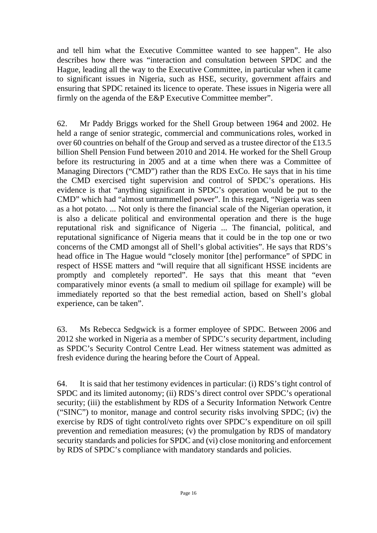and tell him what the Executive Committee wanted to see happen". He also describes how there was "interaction and consultation between SPDC and the Hague, leading all the way to the Executive Committee, in particular when it came to significant issues in Nigeria, such as HSE, security, government affairs and ensuring that SPDC retained its licence to operate. These issues in Nigeria were all firmly on the agenda of the E&P Executive Committee member".

62. Mr Paddy Briggs worked for the Shell Group between 1964 and 2002. He held a range of senior strategic, commercial and communications roles, worked in over 60 countries on behalf of the Group and served as a trustee director of the £13.5 billion Shell Pension Fund between 2010 and 2014. He worked for the Shell Group before its restructuring in 2005 and at a time when there was a Committee of Managing Directors ("CMD") rather than the RDS ExCo. He says that in his time the CMD exercised tight supervision and control of SPDC's operations. His evidence is that "anything significant in SPDC's operation would be put to the CMD" which had "almost untrammelled power". In this regard, "Nigeria was seen as a hot potato. ... Not only is there the financial scale of the Nigerian operation, it is also a delicate political and environmental operation and there is the huge reputational risk and significance of Nigeria ... The financial, political, and reputational significance of Nigeria means that it could be in the top one or two concerns of the CMD amongst all of Shell's global activities". He says that RDS's head office in The Hague would "closely monitor [the] performance" of SPDC in respect of HSSE matters and "will require that all significant HSSE incidents are promptly and completely reported". He says that this meant that "even comparatively minor events (a small to medium oil spillage for example) will be immediately reported so that the best remedial action, based on Shell's global experience, can be taken".

63. Ms Rebecca Sedgwick is a former employee of SPDC. Between 2006 and 2012 she worked in Nigeria as a member of SPDC's security department, including as SPDC's Security Control Centre Lead. Her witness statement was admitted as fresh evidence during the hearing before the Court of Appeal.

64. It is said that her testimony evidences in particular: (i) RDS's tight control of SPDC and its limited autonomy; (ii) RDS's direct control over SPDC's operational security; (iii) the establishment by RDS of a Security Information Network Centre ("SINC") to monitor, manage and control security risks involving SPDC; (iv) the exercise by RDS of tight control/veto rights over SPDC's expenditure on oil spill prevention and remediation measures; (v) the promulgation by RDS of mandatory security standards and policies for SPDC and (vi) close monitoring and enforcement by RDS of SPDC's compliance with mandatory standards and policies.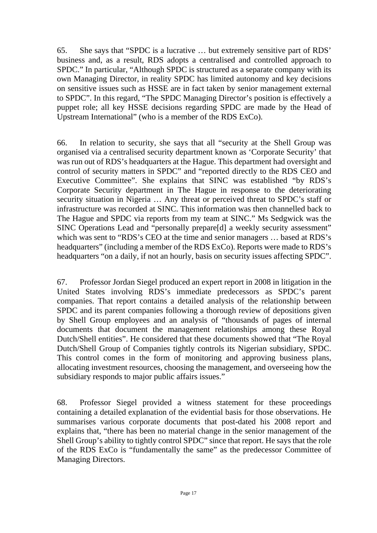65. She says that "SPDC is a lucrative … but extremely sensitive part of RDS' business and, as a result, RDS adopts a centralised and controlled approach to SPDC." In particular, "Although SPDC is structured as a separate company with its own Managing Director, in reality SPDC has limited autonomy and key decisions on sensitive issues such as HSSE are in fact taken by senior management external to SPDC". In this regard, "The SPDC Managing Director's position is effectively a puppet role; all key HSSE decisions regarding SPDC are made by the Head of Upstream International" (who is a member of the RDS ExCo).

66. In relation to security, she says that all "security at the Shell Group was organised via a centralised security department known as 'Corporate Security' that was run out of RDS's headquarters at the Hague. This department had oversight and control of security matters in SPDC" and "reported directly to the RDS CEO and Executive Committee". She explains that SINC was established "by RDS's Corporate Security department in The Hague in response to the deteriorating security situation in Nigeria … Any threat or perceived threat to SPDC's staff or infrastructure was recorded at SINC. This information was then channelled back to The Hague and SPDC via reports from my team at SINC." Ms Sedgwick was the SINC Operations Lead and "personally prepare[d] a weekly security assessment" which was sent to "RDS's CEO at the time and senior managers … based at RDS's headquarters" (including a member of the RDS ExCo). Reports were made to RDS's headquarters "on a daily, if not an hourly, basis on security issues affecting SPDC".

67. Professor Jordan Siegel produced an expert report in 2008 in litigation in the United States involving RDS's immediate predecessors as SPDC's parent companies. That report contains a detailed analysis of the relationship between SPDC and its parent companies following a thorough review of depositions given by Shell Group employees and an analysis of "thousands of pages of internal documents that document the management relationships among these Royal Dutch/Shell entities". He considered that these documents showed that "The Royal Dutch/Shell Group of Companies tightly controls its Nigerian subsidiary, SPDC. This control comes in the form of monitoring and approving business plans, allocating investment resources, choosing the management, and overseeing how the subsidiary responds to major public affairs issues."

68. Professor Siegel provided a witness statement for these proceedings containing a detailed explanation of the evidential basis for those observations. He summarises various corporate documents that post-dated his 2008 report and explains that, "there has been no material change in the senior management of the Shell Group's ability to tightly control SPDC" since that report. He says that the role of the RDS ExCo is "fundamentally the same" as the predecessor Committee of Managing Directors.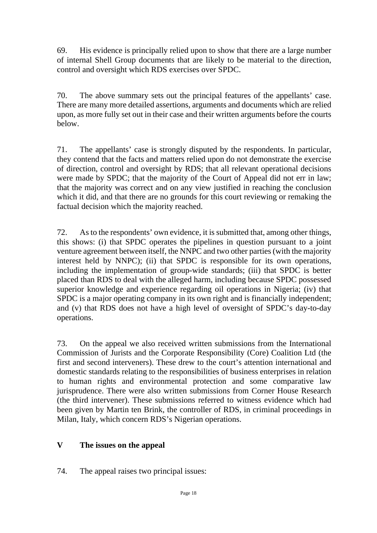69. His evidence is principally relied upon to show that there are a large number of internal Shell Group documents that are likely to be material to the direction, control and oversight which RDS exercises over SPDC.

70. The above summary sets out the principal features of the appellants' case. There are many more detailed assertions, arguments and documents which are relied upon, as more fully set out in their case and their written arguments before the courts below.

71. The appellants' case is strongly disputed by the respondents. In particular, they contend that the facts and matters relied upon do not demonstrate the exercise of direction, control and oversight by RDS; that all relevant operational decisions were made by SPDC; that the majority of the Court of Appeal did not err in law; that the majority was correct and on any view justified in reaching the conclusion which it did, and that there are no grounds for this court reviewing or remaking the factual decision which the majority reached.

72. As to the respondents' own evidence, it is submitted that, among other things, this shows: (i) that SPDC operates the pipelines in question pursuant to a joint venture agreement between itself, the NNPC and two other parties (with the majority interest held by NNPC); (ii) that SPDC is responsible for its own operations, including the implementation of group-wide standards; (iii) that SPDC is better placed than RDS to deal with the alleged harm, including because SPDC possessed superior knowledge and experience regarding oil operations in Nigeria; (iv) that SPDC is a major operating company in its own right and is financially independent; and (v) that RDS does not have a high level of oversight of SPDC's day-to-day operations.

73. On the appeal we also received written submissions from the International Commission of Jurists and the Corporate Responsibility (Core) Coalition Ltd (the first and second interveners). These drew to the court's attention international and domestic standards relating to the responsibilities of business enterprises in relation to human rights and environmental protection and some comparative law jurisprudence. There were also written submissions from Corner House Research (the third intervener). These submissions referred to witness evidence which had been given by Martin ten Brink, the controller of RDS, in criminal proceedings in Milan, Italy, which concern RDS's Nigerian operations.

#### **V The issues on the appeal**

74. The appeal raises two principal issues: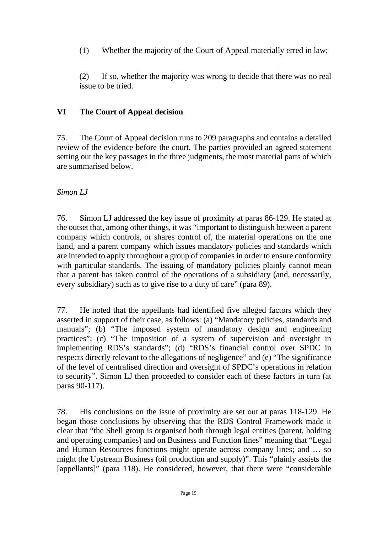(1) Whether the majority of the Court of Appeal materially erred in law;

(2) If so, whether the majority was wrong to decide that there was no real issue to be tried.

### **VI The Court of Appeal decision**

75. The Court of Appeal decision runs to 209 paragraphs and contains a detailed review of the evidence before the court. The parties provided an agreed statement setting out the key passages in the three judgments, the most material parts of which are summarised below.

#### *Simon LJ*

76. Simon LJ addressed the key issue of proximity at paras 86-129. He stated at the outset that, among other things, it was "important to distinguish between a parent company which controls, or shares control of, the material operations on the one hand, and a parent company which issues mandatory policies and standards which are intended to apply throughout a group of companies in order to ensure conformity with particular standards. The issuing of mandatory policies plainly cannot mean that a parent has taken control of the operations of a subsidiary (and, necessarily, every subsidiary) such as to give rise to a duty of care" (para 89).

77. He noted that the appellants had identified five alleged factors which they asserted in support of their case, as follows: (a) "Mandatory policies, standards and manuals"; (b) "The imposed system of mandatory design and engineering practices"; (c) "The imposition of a system of supervision and oversight in implementing RDS's standards"; (d) "RDS's financial control over SPDC in respects directly relevant to the allegations of negligence" and (e) "The significance of the level of centralised direction and oversight of SPDC's operations in relation to security". Simon LJ then proceeded to consider each of these factors in turn (at paras 90-117).

78. His conclusions on the issue of proximity are set out at paras 118-129. He began those conclusions by observing that the RDS Control Framework made it clear that "the Shell group is organised both through legal entities (parent, holding and operating companies) and on Business and Function lines" meaning that "Legal and Human Resources functions might operate across company lines; and … so might the Upstream Business (oil production and supply)". This "plainly assists the [appellants]" (para 118). He considered, however, that there were "considerable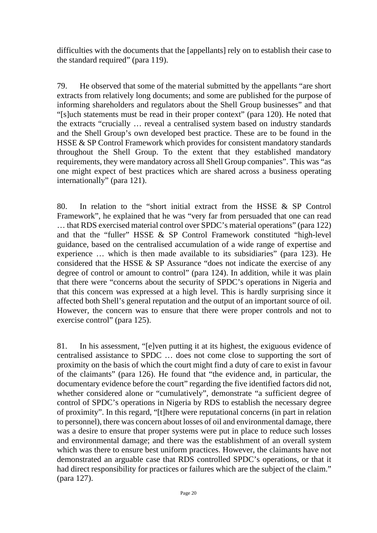difficulties with the documents that the [appellants] rely on to establish their case to the standard required" (para 119).

79. He observed that some of the material submitted by the appellants "are short extracts from relatively long documents; and some are published for the purpose of informing shareholders and regulators about the Shell Group businesses" and that "[s]uch statements must be read in their proper context" (para 120). He noted that the extracts "crucially … reveal a centralised system based on industry standards and the Shell Group's own developed best practice. These are to be found in the HSSE & SP Control Framework which provides for consistent mandatory standards throughout the Shell Group. To the extent that they established mandatory requirements, they were mandatory across all Shell Group companies". This was "as one might expect of best practices which are shared across a business operating internationally" (para 121).

80. In relation to the "short initial extract from the HSSE & SP Control Framework", he explained that he was "very far from persuaded that one can read … that RDS exercised material control over SPDC's material operations" (para 122) and that the "fuller" HSSE & SP Control Framework constituted "high-level guidance, based on the centralised accumulation of a wide range of expertise and experience … which is then made available to its subsidiaries" (para 123). He considered that the HSSE & SP Assurance "does not indicate the exercise of any degree of control or amount to control" (para 124). In addition, while it was plain that there were "concerns about the security of SPDC's operations in Nigeria and that this concern was expressed at a high level. This is hardly surprising since it affected both Shell's general reputation and the output of an important source of oil. However, the concern was to ensure that there were proper controls and not to exercise control" (para 125).

81. In his assessment, "[e]ven putting it at its highest, the exiguous evidence of centralised assistance to SPDC … does not come close to supporting the sort of proximity on the basis of which the court might find a duty of care to exist in favour of the claimants" (para 126). He found that "the evidence and, in particular, the documentary evidence before the court" regarding the five identified factors did not, whether considered alone or "cumulatively", demonstrate "a sufficient degree of control of SPDC's operations in Nigeria by RDS to establish the necessary degree of proximity". In this regard, "[t]here were reputational concerns (in part in relation to personnel), there was concern about losses of oil and environmental damage, there was a desire to ensure that proper systems were put in place to reduce such losses and environmental damage; and there was the establishment of an overall system which was there to ensure best uniform practices. However, the claimants have not demonstrated an arguable case that RDS controlled SPDC's operations, or that it had direct responsibility for practices or failures which are the subject of the claim." (para 127).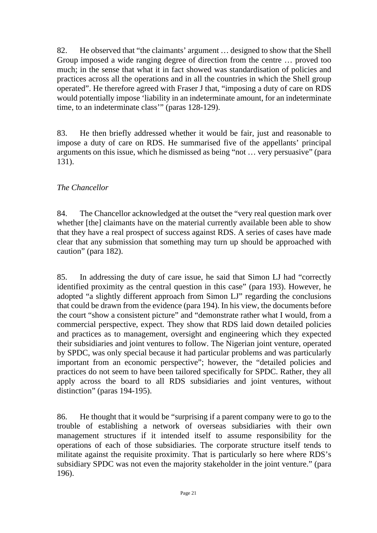82. He observed that "the claimants' argument … designed to show that the Shell Group imposed a wide ranging degree of direction from the centre … proved too much; in the sense that what it in fact showed was standardisation of policies and practices across all the operations and in all the countries in which the Shell group operated". He therefore agreed with Fraser J that, "imposing a duty of care on RDS would potentially impose 'liability in an indeterminate amount, for an indeterminate time, to an indeterminate class'" (paras 128-129).

83. He then briefly addressed whether it would be fair, just and reasonable to impose a duty of care on RDS. He summarised five of the appellants' principal arguments on this issue, which he dismissed as being "not … very persuasive" (para 131).

#### *The Chancellor*

84. The Chancellor acknowledged at the outset the "very real question mark over whether [the] claimants have on the material currently available been able to show that they have a real prospect of success against RDS. A series of cases have made clear that any submission that something may turn up should be approached with caution" (para 182).

85. In addressing the duty of care issue, he said that Simon LJ had "correctly identified proximity as the central question in this case" (para 193). However, he adopted "a slightly different approach from Simon LJ" regarding the conclusions that could be drawn from the evidence (para 194). In his view, the documents before the court "show a consistent picture" and "demonstrate rather what I would, from a commercial perspective, expect. They show that RDS laid down detailed policies and practices as to management, oversight and engineering which they expected their subsidiaries and joint ventures to follow. The Nigerian joint venture, operated by SPDC, was only special because it had particular problems and was particularly important from an economic perspective"; however, the "detailed policies and practices do not seem to have been tailored specifically for SPDC. Rather, they all apply across the board to all RDS subsidiaries and joint ventures, without distinction" (paras 194-195).

86. He thought that it would be "surprising if a parent company were to go to the trouble of establishing a network of overseas subsidiaries with their own management structures if it intended itself to assume responsibility for the operations of each of those subsidiaries. The corporate structure itself tends to militate against the requisite proximity. That is particularly so here where RDS's subsidiary SPDC was not even the majority stakeholder in the joint venture." (para 196).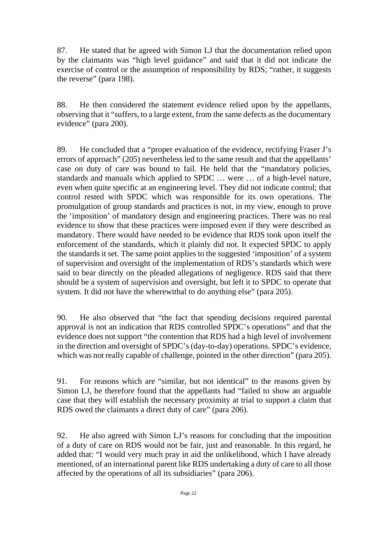87. He stated that he agreed with Simon LJ that the documentation relied upon by the claimants was "high level guidance" and said that it did not indicate the exercise of control or the assumption of responsibility by RDS; "rather, it suggests the reverse" (para 198).

88. He then considered the statement evidence relied upon by the appellants, observing that it "suffers, to a large extent, from the same defects as the documentary evidence" (para 200).

89. He concluded that a "proper evaluation of the evidence, rectifying Fraser J's errors of approach" (205) nevertheless led to the same result and that the appellants' case on duty of care was bound to fail. He held that the "mandatory policies, standards and manuals which applied to SPDC … were … of a high-level nature, even when quite specific at an engineering level. They did not indicate control; that control rested with SPDC which was responsible for its own operations. The promulgation of group standards and practices is not, in my view, enough to prove the 'imposition' of mandatory design and engineering practices. There was no real evidence to show that these practices were imposed even if they were described as mandatory. There would have needed to be evidence that RDS took upon itself the enforcement of the standards, which it plainly did not. It expected SPDC to apply the standards it set. The same point applies to the suggested 'imposition' of a system of supervision and oversight of the implementation of RDS's standards which were said to bear directly on the pleaded allegations of negligence. RDS said that there should be a system of supervision and oversight, but left it to SPDC to operate that system. It did not have the wherewithal to do anything else" (para 205).

90. He also observed that "the fact that spending decisions required parental approval is not an indication that RDS controlled SPDC's operations" and that the evidence does not support "the contention that RDS had a high level of involvement in the direction and oversight of SPDC's (day-to-day) operations. SPDC's evidence, which was not really capable of challenge, pointed in the other direction" (para 205).

91. For reasons which are "similar, but not identical" to the reasons given by Simon LJ, he therefore found that the appellants had "failed to show an arguable case that they will establish the necessary proximity at trial to support a claim that RDS owed the claimants a direct duty of care" (para 206).

92. He also agreed with Simon LJ's reasons for concluding that the imposition of a duty of care on RDS would not be fair, just and reasonable. In this regard, he added that: "I would very much pray in aid the unlikelihood, which I have already mentioned, of an international parent like RDS undertaking a duty of care to all those affected by the operations of all its subsidiaries" (para 206).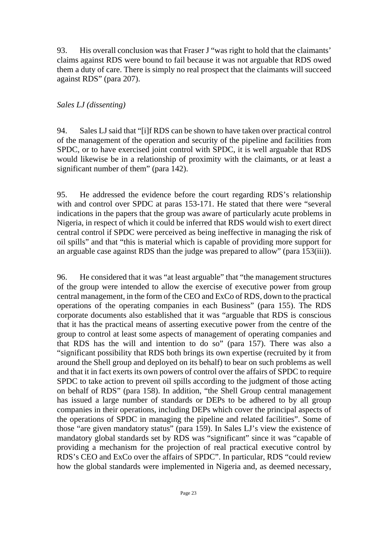93. His overall conclusion was that Fraser J "was right to hold that the claimants' claims against RDS were bound to fail because it was not arguable that RDS owed them a duty of care. There is simply no real prospect that the claimants will succeed against RDS" (para 207).

#### *Sales LJ (dissenting)*

94. Sales LJ said that "[i]f RDS can be shown to have taken over practical control of the management of the operation and security of the pipeline and facilities from SPDC, or to have exercised joint control with SPDC, it is well arguable that RDS would likewise be in a relationship of proximity with the claimants, or at least a significant number of them" (para 142).

95. He addressed the evidence before the court regarding RDS's relationship with and control over SPDC at paras 153-171. He stated that there were "several indications in the papers that the group was aware of particularly acute problems in Nigeria, in respect of which it could be inferred that RDS would wish to exert direct central control if SPDC were perceived as being ineffective in managing the risk of oil spills" and that "this is material which is capable of providing more support for an arguable case against RDS than the judge was prepared to allow" (para 153(iii)).

96. He considered that it was "at least arguable" that "the management structures of the group were intended to allow the exercise of executive power from group central management, in the form of the CEO and ExCo of RDS, down to the practical operations of the operating companies in each Business" (para 155). The RDS corporate documents also established that it was "arguable that RDS is conscious that it has the practical means of asserting executive power from the centre of the group to control at least some aspects of management of operating companies and that RDS has the will and intention to do so" (para 157). There was also a "significant possibility that RDS both brings its own expertise (recruited by it from around the Shell group and deployed on its behalf) to bear on such problems as well and that it in fact exerts its own powers of control over the affairs of SPDC to require SPDC to take action to prevent oil spills according to the judgment of those acting on behalf of RDS" (para 158). In addition, "the Shell Group central management has issued a large number of standards or DEPs to be adhered to by all group companies in their operations, including DEPs which cover the principal aspects of the operations of SPDC in managing the pipeline and related facilities". Some of those "are given mandatory status" (para 159). In Sales LJ's view the existence of mandatory global standards set by RDS was "significant" since it was "capable of providing a mechanism for the projection of real practical executive control by RDS's CEO and ExCo over the affairs of SPDC". In particular, RDS "could review how the global standards were implemented in Nigeria and, as deemed necessary,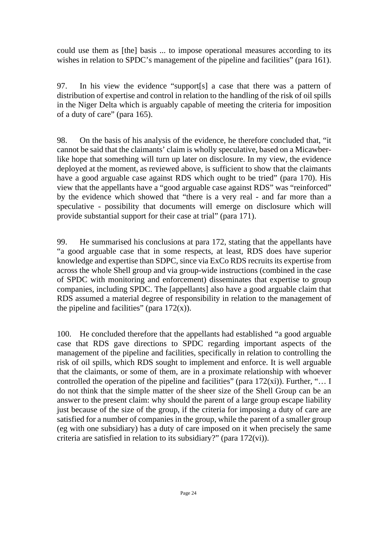could use them as [the] basis ... to impose operational measures according to its wishes in relation to SPDC's management of the pipeline and facilities" (para 161).

97. In his view the evidence "support[s] a case that there was a pattern of distribution of expertise and control in relation to the handling of the risk of oil spills in the Niger Delta which is arguably capable of meeting the criteria for imposition of a duty of care" (para 165).

98. On the basis of his analysis of the evidence, he therefore concluded that, "it cannot be said that the claimants' claim is wholly speculative, based on a Micawberlike hope that something will turn up later on disclosure. In my view, the evidence deployed at the moment, as reviewed above, is sufficient to show that the claimants have a good arguable case against RDS which ought to be tried" (para 170). His view that the appellants have a "good arguable case against RDS" was "reinforced" by the evidence which showed that "there is a very real - and far more than a speculative - possibility that documents will emerge on disclosure which will provide substantial support for their case at trial" (para 171).

99. He summarised his conclusions at para 172, stating that the appellants have "a good arguable case that in some respects, at least, RDS does have superior knowledge and expertise than SDPC, since via ExCo RDS recruits its expertise from across the whole Shell group and via group-wide instructions (combined in the case of SPDC with monitoring and enforcement) disseminates that expertise to group companies, including SPDC. The [appellants] also have a good arguable claim that RDS assumed a material degree of responsibility in relation to the management of the pipeline and facilities" (para  $172(x)$ ).

100. He concluded therefore that the appellants had established "a good arguable case that RDS gave directions to SPDC regarding important aspects of the management of the pipeline and facilities, specifically in relation to controlling the risk of oil spills, which RDS sought to implement and enforce. It is well arguable that the claimants, or some of them, are in a proximate relationship with whoever controlled the operation of the pipeline and facilities" (para 172(xi)). Further, "… I do not think that the simple matter of the sheer size of the Shell Group can be an answer to the present claim: why should the parent of a large group escape liability just because of the size of the group, if the criteria for imposing a duty of care are satisfied for a number of companies in the group, while the parent of a smaller group (eg with one subsidiary) has a duty of care imposed on it when precisely the same criteria are satisfied in relation to its subsidiary?" (para 172(vi)).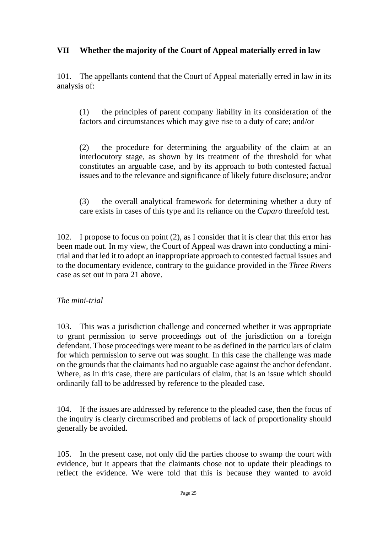#### **VII Whether the majority of the Court of Appeal materially erred in law**

101. The appellants contend that the Court of Appeal materially erred in law in its analysis of:

(1) the principles of parent company liability in its consideration of the factors and circumstances which may give rise to a duty of care; and/or

(2) the procedure for determining the arguability of the claim at an interlocutory stage, as shown by its treatment of the threshold for what constitutes an arguable case, and by its approach to both contested factual issues and to the relevance and significance of likely future disclosure; and/or

(3) the overall analytical framework for determining whether a duty of care exists in cases of this type and its reliance on the *Caparo* threefold test.

102. I propose to focus on point (2), as I consider that it is clear that this error has been made out. In my view, the Court of Appeal was drawn into conducting a minitrial and that led it to adopt an inappropriate approach to contested factual issues and to the documentary evidence, contrary to the guidance provided in the *Three Rivers* case as set out in para 21 above.

#### *The mini-trial*

103. This was a jurisdiction challenge and concerned whether it was appropriate to grant permission to serve proceedings out of the jurisdiction on a foreign defendant. Those proceedings were meant to be as defined in the particulars of claim for which permission to serve out was sought. In this case the challenge was made on the grounds that the claimants had no arguable case against the anchor defendant. Where, as in this case, there are particulars of claim, that is an issue which should ordinarily fall to be addressed by reference to the pleaded case.

104. If the issues are addressed by reference to the pleaded case, then the focus of the inquiry is clearly circumscribed and problems of lack of proportionality should generally be avoided.

105. In the present case, not only did the parties choose to swamp the court with evidence, but it appears that the claimants chose not to update their pleadings to reflect the evidence. We were told that this is because they wanted to avoid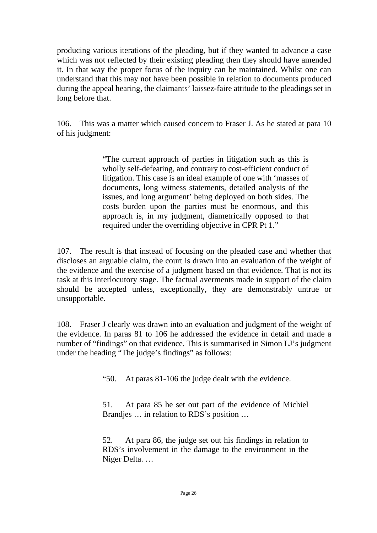producing various iterations of the pleading, but if they wanted to advance a case which was not reflected by their existing pleading then they should have amended it. In that way the proper focus of the inquiry can be maintained. Whilst one can understand that this may not have been possible in relation to documents produced during the appeal hearing, the claimants' laissez-faire attitude to the pleadings set in long before that.

106. This was a matter which caused concern to Fraser J. As he stated at para 10 of his judgment:

> "The current approach of parties in litigation such as this is wholly self-defeating, and contrary to cost-efficient conduct of litigation. This case is an ideal example of one with 'masses of documents, long witness statements, detailed analysis of the issues, and long argument' being deployed on both sides. The costs burden upon the parties must be enormous, and this approach is, in my judgment, diametrically opposed to that required under the overriding objective in CPR Pt 1."

107. The result is that instead of focusing on the pleaded case and whether that discloses an arguable claim, the court is drawn into an evaluation of the weight of the evidence and the exercise of a judgment based on that evidence. That is not its task at this interlocutory stage. The factual averments made in support of the claim should be accepted unless, exceptionally, they are demonstrably untrue or unsupportable.

108. Fraser J clearly was drawn into an evaluation and judgment of the weight of the evidence. In paras 81 to 106 he addressed the evidence in detail and made a number of "findings" on that evidence. This is summarised in Simon LJ's judgment under the heading "The judge's findings" as follows:

"50. At paras 81-106 the judge dealt with the evidence.

51. At para 85 he set out part of the evidence of Michiel Brandjes … in relation to RDS's position …

52. At para 86, the judge set out his findings in relation to RDS's involvement in the damage to the environment in the Niger Delta. …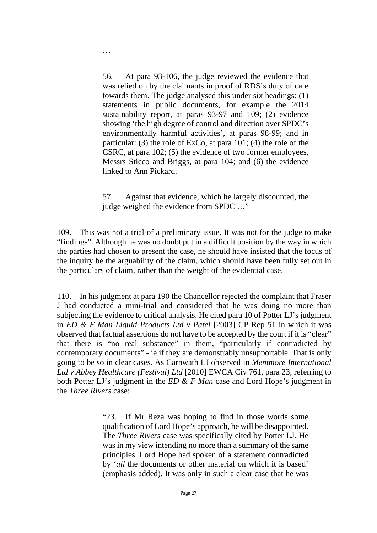56. At para 93-106, the judge reviewed the evidence that was relied on by the claimants in proof of RDS's duty of care towards them. The judge analysed this under six headings: (1) statements in public documents, for example the 2014 sustainability report, at paras 93-97 and 109; (2) evidence showing 'the high degree of control and direction over SPDC's environmentally harmful activities', at paras 98-99; and in particular: (3) the role of ExCo, at para 101; (4) the role of the CSRC, at para 102; (5) the evidence of two former employees, Messrs Sticco and Briggs, at para 104; and (6) the evidence linked to Ann Pickard.

…

57. Against that evidence, which he largely discounted, the judge weighed the evidence from SPDC …"

109. This was not a trial of a preliminary issue. It was not for the judge to make "findings". Although he was no doubt put in a difficult position by the way in which the parties had chosen to present the case, he should have insisted that the focus of the inquiry be the arguability of the claim, which should have been fully set out in the particulars of claim, rather than the weight of the evidential case.

110. In his judgment at para 190 the Chancellor rejected the complaint that Fraser J had conducted a mini-trial and considered that he was doing no more than subjecting the evidence to critical analysis. He cited para 10 of Potter LJ's judgment in *ED & F Man Liquid Products Ltd v Patel* [2003] CP Rep 51 in which it was observed that factual assertions do not have to be accepted by the court if it is "clear" that there is "no real substance" in them, "particularly if contradicted by contemporary documents" - ie if they are demonstrably unsupportable. That is only going to be so in clear cases. As Carnwath LJ observed in *Mentmore International Ltd v Abbey Healthcare (Festival) Ltd* [2010] EWCA Civ 761, para 23, referring to both Potter LJ's judgment in the *ED & F Man* case and Lord Hope's judgment in the *Three Rivers* case:

> "23. If Mr Reza was hoping to find in those words some qualification of Lord Hope's approach, he will be disappointed. The *Three Rivers* case was specifically cited by Potter LJ. He was in my view intending no more than a summary of the same principles. Lord Hope had spoken of a statement contradicted by '*all* the documents or other material on which it is based' (emphasis added). It was only in such a clear case that he was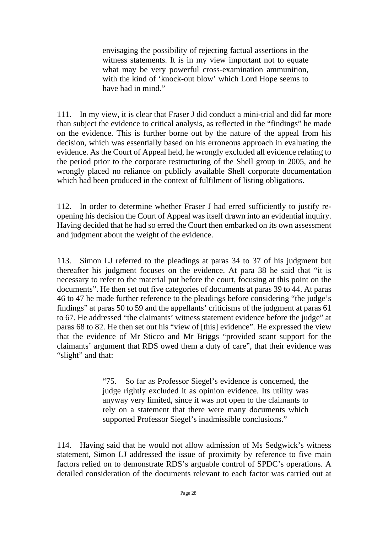envisaging the possibility of rejecting factual assertions in the witness statements. It is in my view important not to equate what may be very powerful cross-examination ammunition, with the kind of 'knock-out blow' which Lord Hope seems to have had in mind."

111. In my view, it is clear that Fraser J did conduct a mini-trial and did far more than subject the evidence to critical analysis, as reflected in the "findings" he made on the evidence. This is further borne out by the nature of the appeal from his decision, which was essentially based on his erroneous approach in evaluating the evidence. As the Court of Appeal held, he wrongly excluded all evidence relating to the period prior to the corporate restructuring of the Shell group in 2005, and he wrongly placed no reliance on publicly available Shell corporate documentation which had been produced in the context of fulfilment of listing obligations.

112. In order to determine whether Fraser J had erred sufficiently to justify reopening his decision the Court of Appeal was itself drawn into an evidential inquiry. Having decided that he had so erred the Court then embarked on its own assessment and judgment about the weight of the evidence.

113. Simon LJ referred to the pleadings at paras 34 to 37 of his judgment but thereafter his judgment focuses on the evidence. At para 38 he said that "it is necessary to refer to the material put before the court, focusing at this point on the documents". He then set out five categories of documents at paras 39 to 44. At paras 46 to 47 he made further reference to the pleadings before considering "the judge's findings" at paras 50 to 59 and the appellants' criticisms of the judgment at paras 61 to 67. He addressed "the claimants' witness statement evidence before the judge" at paras 68 to 82. He then set out his "view of [this] evidence". He expressed the view that the evidence of Mr Sticco and Mr Briggs "provided scant support for the claimants' argument that RDS owed them a duty of care", that their evidence was "slight" and that:

> "75. So far as Professor Siegel's evidence is concerned, the judge rightly excluded it as opinion evidence. Its utility was anyway very limited, since it was not open to the claimants to rely on a statement that there were many documents which supported Professor Siegel's inadmissible conclusions."

114. Having said that he would not allow admission of Ms Sedgwick's witness statement, Simon LJ addressed the issue of proximity by reference to five main factors relied on to demonstrate RDS's arguable control of SPDC's operations. A detailed consideration of the documents relevant to each factor was carried out at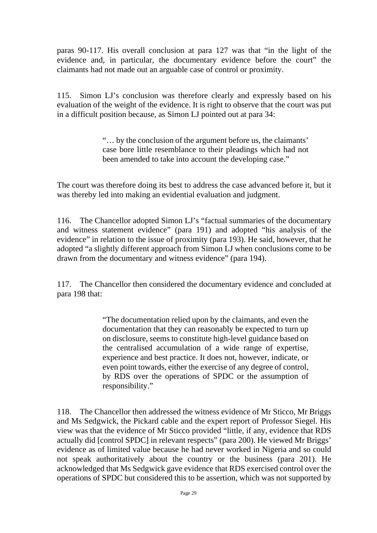paras 90-117. His overall conclusion at para 127 was that "in the light of the evidence and, in particular, the documentary evidence before the court" the claimants had not made out an arguable case of control or proximity.

115. Simon LJ's conclusion was therefore clearly and expressly based on his evaluation of the weight of the evidence. It is right to observe that the court was put in a difficult position because, as Simon LJ pointed out at para 34:

> "… by the conclusion of the argument before us, the claimants' case bore little resemblance to their pleadings which had not been amended to take into account the developing case."

The court was therefore doing its best to address the case advanced before it, but it was thereby led into making an evidential evaluation and judgment.

116. The Chancellor adopted Simon LJ's "factual summaries of the documentary and witness statement evidence" (para 191) and adopted "his analysis of the evidence" in relation to the issue of proximity (para 193). He said, however, that he adopted "a slightly different approach from Simon LJ when conclusions come to be drawn from the documentary and witness evidence" (para 194).

117. The Chancellor then considered the documentary evidence and concluded at para 198 that:

> "The documentation relied upon by the claimants, and even the documentation that they can reasonably be expected to turn up on disclosure, seems to constitute high-level guidance based on the centralised accumulation of a wide range of expertise, experience and best practice. It does not, however, indicate, or even point towards, either the exercise of any degree of control, by RDS over the operations of SPDC or the assumption of responsibility."

118. The Chancellor then addressed the witness evidence of Mr Sticco, Mr Briggs and Ms Sedgwick, the Pickard cable and the expert report of Professor Siegel. His view was that the evidence of Mr Sticco provided "little, if any, evidence that RDS actually did [control SPDC] in relevant respects" (para 200). He viewed Mr Briggs' evidence as of limited value because he had never worked in Nigeria and so could not speak authoritatively about the country or the business (para 201). He acknowledged that Ms Sedgwick gave evidence that RDS exercised control over the operations of SPDC but considered this to be assertion, which was not supported by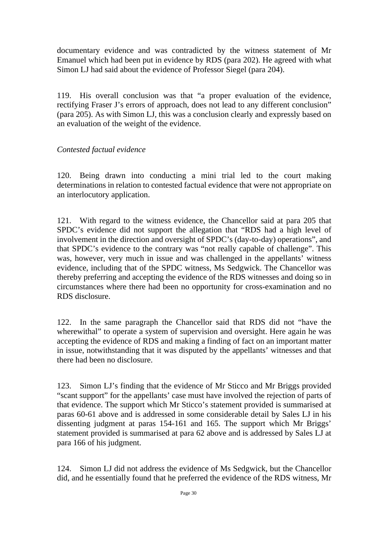documentary evidence and was contradicted by the witness statement of Mr Emanuel which had been put in evidence by RDS (para 202). He agreed with what Simon LJ had said about the evidence of Professor Siegel (para 204).

119. His overall conclusion was that "a proper evaluation of the evidence, rectifying Fraser J's errors of approach, does not lead to any different conclusion" (para 205). As with Simon LJ, this was a conclusion clearly and expressly based on an evaluation of the weight of the evidence.

#### *Contested factual evidence*

120. Being drawn into conducting a mini trial led to the court making determinations in relation to contested factual evidence that were not appropriate on an interlocutory application.

121. With regard to the witness evidence, the Chancellor said at para 205 that SPDC's evidence did not support the allegation that "RDS had a high level of involvement in the direction and oversight of SPDC's (day-to-day) operations", and that SPDC's evidence to the contrary was "not really capable of challenge". This was, however, very much in issue and was challenged in the appellants' witness evidence, including that of the SPDC witness, Ms Sedgwick. The Chancellor was thereby preferring and accepting the evidence of the RDS witnesses and doing so in circumstances where there had been no opportunity for cross-examination and no RDS disclosure.

122. In the same paragraph the Chancellor said that RDS did not "have the wherewithal" to operate a system of supervision and oversight. Here again he was accepting the evidence of RDS and making a finding of fact on an important matter in issue, notwithstanding that it was disputed by the appellants' witnesses and that there had been no disclosure.

123. Simon LJ's finding that the evidence of Mr Sticco and Mr Briggs provided "scant support" for the appellants' case must have involved the rejection of parts of that evidence. The support which Mr Sticco's statement provided is summarised at paras 60-61 above and is addressed in some considerable detail by Sales LJ in his dissenting judgment at paras 154-161 and 165. The support which Mr Briggs' statement provided is summarised at para 62 above and is addressed by Sales LJ at para 166 of his judgment.

124. Simon LJ did not address the evidence of Ms Sedgwick, but the Chancellor did, and he essentially found that he preferred the evidence of the RDS witness, Mr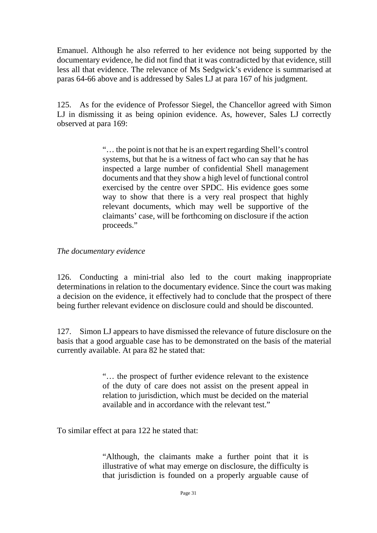Emanuel. Although he also referred to her evidence not being supported by the documentary evidence, he did not find that it was contradicted by that evidence, still less all that evidence. The relevance of Ms Sedgwick's evidence is summarised at paras 64-66 above and is addressed by Sales LJ at para 167 of his judgment.

125. As for the evidence of Professor Siegel, the Chancellor agreed with Simon LJ in dismissing it as being opinion evidence. As, however, Sales LJ correctly observed at para 169:

> "… the point is not that he is an expert regarding Shell's control systems, but that he is a witness of fact who can say that he has inspected a large number of confidential Shell management documents and that they show a high level of functional control exercised by the centre over SPDC. His evidence goes some way to show that there is a very real prospect that highly relevant documents, which may well be supportive of the claimants' case, will be forthcoming on disclosure if the action proceeds."

#### *The documentary evidence*

126. Conducting a mini-trial also led to the court making inappropriate determinations in relation to the documentary evidence. Since the court was making a decision on the evidence, it effectively had to conclude that the prospect of there being further relevant evidence on disclosure could and should be discounted.

127. Simon LJ appears to have dismissed the relevance of future disclosure on the basis that a good arguable case has to be demonstrated on the basis of the material currently available. At para 82 he stated that:

> "… the prospect of further evidence relevant to the existence of the duty of care does not assist on the present appeal in relation to jurisdiction, which must be decided on the material available and in accordance with the relevant test."

To similar effect at para 122 he stated that:

"Although, the claimants make a further point that it is illustrative of what may emerge on disclosure, the difficulty is that jurisdiction is founded on a properly arguable cause of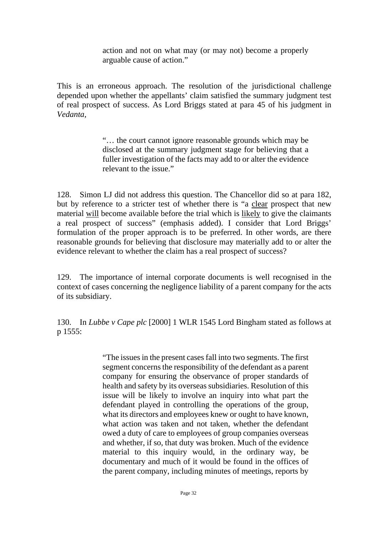action and not on what may (or may not) become a properly arguable cause of action."

This is an erroneous approach. The resolution of the jurisdictional challenge depended upon whether the appellants' claim satisfied the summary judgment test of real prospect of success. As Lord Briggs stated at para 45 of his judgment in *Vedanta*,

> "… the court cannot ignore reasonable grounds which may be disclosed at the summary judgment stage for believing that a fuller investigation of the facts may add to or alter the evidence relevant to the issue."

128. Simon LJ did not address this question. The Chancellor did so at para 182, but by reference to a stricter test of whether there is "a clear prospect that new material will become available before the trial which is likely to give the claimants a real prospect of success" (emphasis added). I consider that Lord Briggs' formulation of the proper approach is to be preferred. In other words, are there reasonable grounds for believing that disclosure may materially add to or alter the evidence relevant to whether the claim has a real prospect of success?

129. The importance of internal corporate documents is well recognised in the context of cases concerning the negligence liability of a parent company for the acts of its subsidiary.

130. In *Lubbe v Cape plc* [2000] 1 WLR 1545 Lord Bingham stated as follows at p 1555:

> "The issues in the present cases fall into two segments. The first segment concerns the responsibility of the defendant as a parent company for ensuring the observance of proper standards of health and safety by its overseas subsidiaries. Resolution of this issue will be likely to involve an inquiry into what part the defendant played in controlling the operations of the group, what its directors and employees knew or ought to have known, what action was taken and not taken, whether the defendant owed a duty of care to employees of group companies overseas and whether, if so, that duty was broken. Much of the evidence material to this inquiry would, in the ordinary way, be documentary and much of it would be found in the offices of the parent company, including minutes of meetings, reports by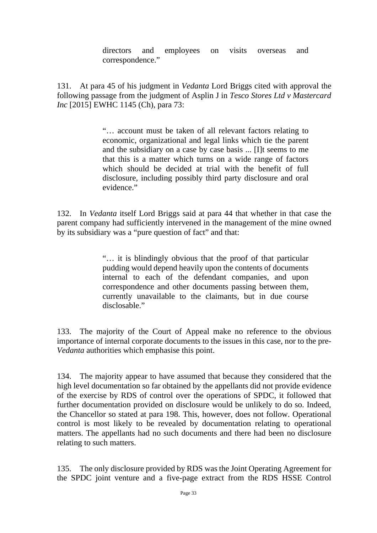directors and employees on visits overseas and correspondence."

131. At para 45 of his judgment in *Vedanta* Lord Briggs cited with approval the following passage from the judgment of Asplin J in *Tesco Stores Ltd v Mastercard Inc* [2015] EWHC 1145 (Ch), para 73:

> "… account must be taken of all relevant factors relating to economic, organizational and legal links which tie the parent and the subsidiary on a case by case basis ... [I]t seems to me that this is a matter which turns on a wide range of factors which should be decided at trial with the benefit of full disclosure, including possibly third party disclosure and oral evidence."

132. In *Vedanta* itself Lord Briggs said at para 44 that whether in that case the parent company had sufficiently intervened in the management of the mine owned by its subsidiary was a "pure question of fact" and that:

> "… it is blindingly obvious that the proof of that particular pudding would depend heavily upon the contents of documents internal to each of the defendant companies, and upon correspondence and other documents passing between them, currently unavailable to the claimants, but in due course disclosable."

133. The majority of the Court of Appeal make no reference to the obvious importance of internal corporate documents to the issues in this case, nor to the pre-*Vedanta* authorities which emphasise this point.

134. The majority appear to have assumed that because they considered that the high level documentation so far obtained by the appellants did not provide evidence of the exercise by RDS of control over the operations of SPDC, it followed that further documentation provided on disclosure would be unlikely to do so. Indeed, the Chancellor so stated at para 198. This, however, does not follow. Operational control is most likely to be revealed by documentation relating to operational matters. The appellants had no such documents and there had been no disclosure relating to such matters.

135. The only disclosure provided by RDS was the Joint Operating Agreement for the SPDC joint venture and a five-page extract from the RDS HSSE Control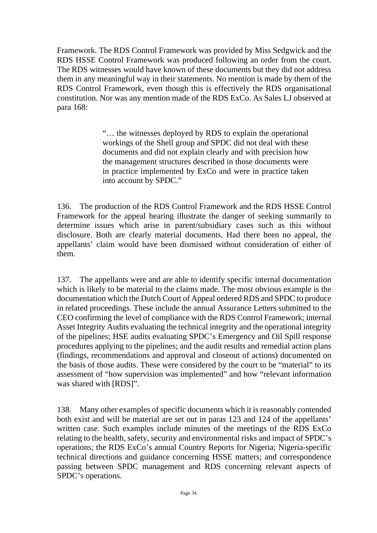Framework. The RDS Control Framework was provided by Miss Sedgwick and the RDS HSSE Control Framework was produced following an order from the court. The RDS witnesses would have known of these documents but they did not address them in any meaningful way in their statements. No mention is made by them of the RDS Control Framework, even though this is effectively the RDS organisational constitution. Nor was any mention made of the RDS ExCo. As Sales LJ observed at para 168:

> "… the witnesses deployed by RDS to explain the operational workings of the Shell group and SPDC did not deal with these documents and did not explain clearly and with precision how the management structures described in those documents were in practice implemented by ExCo and were in practice taken into account by SPDC."

136. The production of the RDS Control Framework and the RDS HSSE Control Framework for the appeal hearing illustrate the danger of seeking summarily to determine issues which arise in parent/subsidiary cases such as this without disclosure. Both are clearly material documents. Had there been no appeal, the appellants' claim would have been dismissed without consideration of either of them.

137. The appellants were and are able to identify specific internal documentation which is likely to be material to the claims made. The most obvious example is the documentation which the Dutch Court of Appeal ordered RDS and SPDC to produce in related proceedings. These include the annual Assurance Letters submitted to the CEO confirming the level of compliance with the RDS Control Framework; internal Asset Integrity Audits evaluating the technical integrity and the operational integrity of the pipelines; HSE audits evaluating SPDC's Emergency and Oil Spill response procedures applying to the pipelines; and the audit results and remedial action plans (findings, recommendations and approval and closeout of actions) documented on the basis of those audits. These were considered by the court to be "material" to its assessment of "how supervision was implemented" and how "relevant information was shared with [RDS]".

138. Many other examples of specific documents which it is reasonably contended both exist and will be material are set out in paras 123 and 124 of the appellants' written case. Such examples include minutes of the meetings of the RDS ExCo relating to the health, safety, security and environmental risks and impact of SPDC's operations; the RDS ExCo's annual Country Reports for Nigeria; Nigeria-specific technical directions and guidance concerning HSSE matters; and correspondence passing between SPDC management and RDS concerning relevant aspects of SPDC's operations.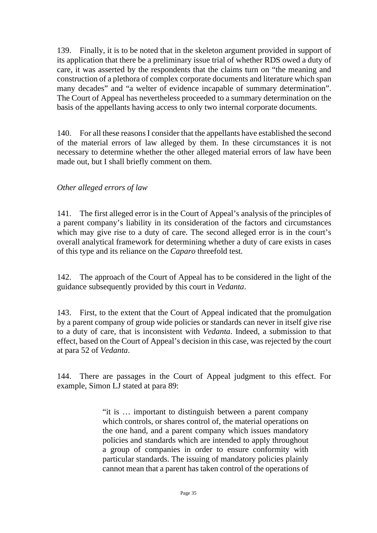139. Finally, it is to be noted that in the skeleton argument provided in support of its application that there be a preliminary issue trial of whether RDS owed a duty of care, it was asserted by the respondents that the claims turn on "the meaning and construction of a plethora of complex corporate documents and literature which span many decades" and "a welter of evidence incapable of summary determination". The Court of Appeal has nevertheless proceeded to a summary determination on the basis of the appellants having access to only two internal corporate documents.

140. For all these reasons I consider that the appellants have established the second of the material errors of law alleged by them. In these circumstances it is not necessary to determine whether the other alleged material errors of law have been made out, but I shall briefly comment on them.

#### *Other alleged errors of law*

141. The first alleged error is in the Court of Appeal's analysis of the principles of a parent company's liability in its consideration of the factors and circumstances which may give rise to a duty of care. The second alleged error is in the court's overall analytical framework for determining whether a duty of care exists in cases of this type and its reliance on the *Caparo* threefold test.

142. The approach of the Court of Appeal has to be considered in the light of the guidance subsequently provided by this court in *Vedanta*.

143. First, to the extent that the Court of Appeal indicated that the promulgation by a parent company of group wide policies or standards can never in itself give rise to a duty of care, that is inconsistent with *Vedanta*. Indeed, a submission to that effect, based on the Court of Appeal's decision in this case, was rejected by the court at para 52 of *Vedanta*.

144. There are passages in the Court of Appeal judgment to this effect. For example, Simon LJ stated at para 89:

> "it is … important to distinguish between a parent company which controls, or shares control of, the material operations on the one hand, and a parent company which issues mandatory policies and standards which are intended to apply throughout a group of companies in order to ensure conformity with particular standards. The issuing of mandatory policies plainly cannot mean that a parent has taken control of the operations of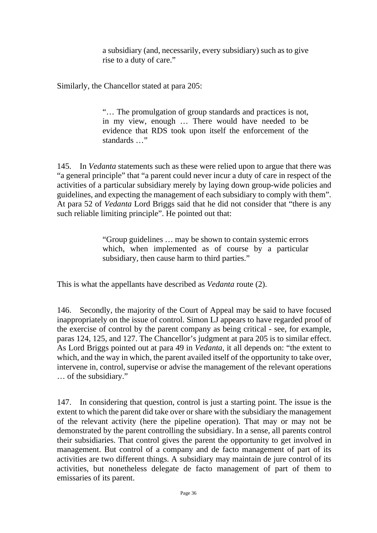a subsidiary (and, necessarily, every subsidiary) such as to give rise to a duty of care."

Similarly, the Chancellor stated at para 205:

"… The promulgation of group standards and practices is not, in my view, enough … There would have needed to be evidence that RDS took upon itself the enforcement of the standards …"

145. In *Vedanta* statements such as these were relied upon to argue that there was "a general principle" that "a parent could never incur a duty of care in respect of the activities of a particular subsidiary merely by laying down group-wide policies and guidelines, and expecting the management of each subsidiary to comply with them". At para 52 of *Vedanta* Lord Briggs said that he did not consider that "there is any such reliable limiting principle". He pointed out that:

> "Group guidelines … may be shown to contain systemic errors which, when implemented as of course by a particular subsidiary, then cause harm to third parties."

This is what the appellants have described as *Vedanta* route (2).

146. Secondly, the majority of the Court of Appeal may be said to have focused inappropriately on the issue of control. Simon LJ appears to have regarded proof of the exercise of control by the parent company as being critical - see, for example, paras 124, 125, and 127. The Chancellor's judgment at para 205 is to similar effect. As Lord Briggs pointed out at para 49 in *Vedanta*, it all depends on: "the extent to which, and the way in which, the parent availed itself of the opportunity to take over, intervene in, control, supervise or advise the management of the relevant operations … of the subsidiary."

147. In considering that question, control is just a starting point. The issue is the extent to which the parent did take over or share with the subsidiary the management of the relevant activity (here the pipeline operation). That may or may not be demonstrated by the parent controlling the subsidiary. In a sense, all parents control their subsidiaries. That control gives the parent the opportunity to get involved in management. But control of a company and de facto management of part of its activities are two different things. A subsidiary may maintain de jure control of its activities, but nonetheless delegate de facto management of part of them to emissaries of its parent.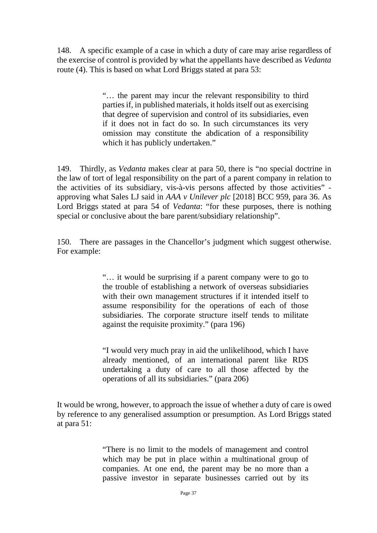148. A specific example of a case in which a duty of care may arise regardless of the exercise of control is provided by what the appellants have described as *Vedanta* route (4). This is based on what Lord Briggs stated at para 53:

> "… the parent may incur the relevant responsibility to third parties if, in published materials, it holds itself out as exercising that degree of supervision and control of its subsidiaries, even if it does not in fact do so. In such circumstances its very omission may constitute the abdication of a responsibility which it has publicly undertaken."

149. Thirdly, as *Vedanta* makes clear at para 50, there is "no special doctrine in the law of tort of legal responsibility on the part of a parent company in relation to the activities of its subsidiary, vis-à-vis persons affected by those activities" approving what Sales LJ said in *AAA v Unilever plc* [2018] BCC 959, para 36. As Lord Briggs stated at para 54 of *Vedanta*: "for these purposes, there is nothing special or conclusive about the bare parent/subsidiary relationship".

150. There are passages in the Chancellor's judgment which suggest otherwise. For example:

> "… it would be surprising if a parent company were to go to the trouble of establishing a network of overseas subsidiaries with their own management structures if it intended itself to assume responsibility for the operations of each of those subsidiaries. The corporate structure itself tends to militate against the requisite proximity." (para 196)

> "I would very much pray in aid the unlikelihood, which I have already mentioned, of an international parent like RDS undertaking a duty of care to all those affected by the operations of all its subsidiaries." (para 206)

It would be wrong, however, to approach the issue of whether a duty of care is owed by reference to any generalised assumption or presumption. As Lord Briggs stated at para 51:

> "There is no limit to the models of management and control which may be put in place within a multinational group of companies. At one end, the parent may be no more than a passive investor in separate businesses carried out by its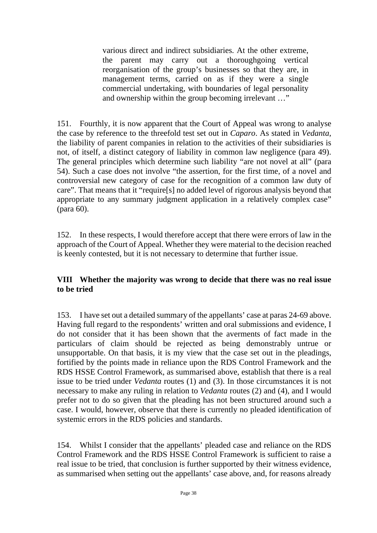various direct and indirect subsidiaries. At the other extreme, the parent may carry out a thoroughgoing vertical reorganisation of the group's businesses so that they are, in management terms, carried on as if they were a single commercial undertaking, with boundaries of legal personality and ownership within the group becoming irrelevant …"

151. Fourthly, it is now apparent that the Court of Appeal was wrong to analyse the case by reference to the threefold test set out in *Caparo*. As stated in *Vedanta*, the liability of parent companies in relation to the activities of their subsidiaries is not, of itself, a distinct category of liability in common law negligence (para 49). The general principles which determine such liability "are not novel at all" (para 54). Such a case does not involve "the assertion, for the first time, of a novel and controversial new category of case for the recognition of a common law duty of care". That means that it "require[s] no added level of rigorous analysis beyond that appropriate to any summary judgment application in a relatively complex case" (para 60).

152. In these respects, I would therefore accept that there were errors of law in the approach of the Court of Appeal. Whether they were material to the decision reached is keenly contested, but it is not necessary to determine that further issue.

#### **VIII Whether the majority was wrong to decide that there was no real issue to be tried**

153. I have set out a detailed summary of the appellants' case at paras 24-69 above. Having full regard to the respondents' written and oral submissions and evidence, I do not consider that it has been shown that the averments of fact made in the particulars of claim should be rejected as being demonstrably untrue or unsupportable. On that basis, it is my view that the case set out in the pleadings, fortified by the points made in reliance upon the RDS Control Framework and the RDS HSSE Control Framework, as summarised above, establish that there is a real issue to be tried under *Vedanta* routes (1) and (3). In those circumstances it is not necessary to make any ruling in relation to *Vedanta* routes (2) and (4), and I would prefer not to do so given that the pleading has not been structured around such a case. I would, however, observe that there is currently no pleaded identification of systemic errors in the RDS policies and standards.

154. Whilst I consider that the appellants' pleaded case and reliance on the RDS Control Framework and the RDS HSSE Control Framework is sufficient to raise a real issue to be tried, that conclusion is further supported by their witness evidence, as summarised when setting out the appellants' case above, and, for reasons already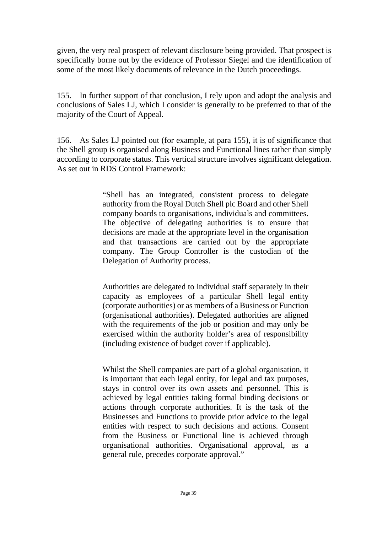given, the very real prospect of relevant disclosure being provided. That prospect is specifically borne out by the evidence of Professor Siegel and the identification of some of the most likely documents of relevance in the Dutch proceedings.

155. In further support of that conclusion, I rely upon and adopt the analysis and conclusions of Sales LJ, which I consider is generally to be preferred to that of the majority of the Court of Appeal.

156. As Sales LJ pointed out (for example, at para 155), it is of significance that the Shell group is organised along Business and Functional lines rather than simply according to corporate status. This vertical structure involves significant delegation. As set out in RDS Control Framework:

> "Shell has an integrated, consistent process to delegate authority from the Royal Dutch Shell plc Board and other Shell company boards to organisations, individuals and committees. The objective of delegating authorities is to ensure that decisions are made at the appropriate level in the organisation and that transactions are carried out by the appropriate company. The Group Controller is the custodian of the Delegation of Authority process.

> Authorities are delegated to individual staff separately in their capacity as employees of a particular Shell legal entity (corporate authorities) or as members of a Business or Function (organisational authorities). Delegated authorities are aligned with the requirements of the job or position and may only be exercised within the authority holder's area of responsibility (including existence of budget cover if applicable).

> Whilst the Shell companies are part of a global organisation, it is important that each legal entity, for legal and tax purposes, stays in control over its own assets and personnel. This is achieved by legal entities taking formal binding decisions or actions through corporate authorities. It is the task of the Businesses and Functions to provide prior advice to the legal entities with respect to such decisions and actions. Consent from the Business or Functional line is achieved through organisational authorities. Organisational approval, as a general rule, precedes corporate approval."